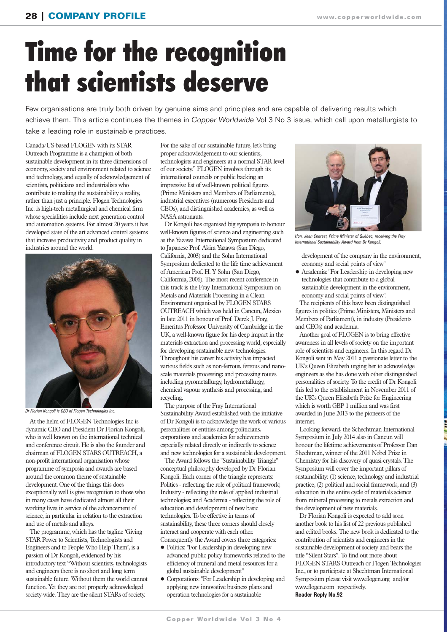# Time for the recognition that scientists deserve

Few organisations are truly both driven by genuine aims and principles and are capable of delivering results which achieve them. This article continues the themes in *Copper Worldwide* Vol 3 No 3 issue, which call upon metallurgists to take a leading role in sustainable practices.

Canada/US-based FLOGEN with its STAR Outreach Programme is a champion of both sustainable development in its three dimensions of economy, society and environment related to science and technology, and equally of acknowledgement of scientists, politicians and industrialists who contribute to making the sustainability a reality, rather than just a principle. Flogen Technologies Inc. is high-tech metallurgical and chemical firm whose specialities include next generation control and automation systems. For almost 20 years it has developed state of the art advanced control systems that increase productivity and product quality in industries around the world.



*Dr Florian Kongoli is CEO of Flogen Technologies Inc.*

At the helm of FLOGEN Technologies Inc is dynamic CEO and President Dr Florian Kongoli, who is well known on the international technical and conference circuit. He is also the founder and chairman of FLOGEN STARS OUTREACH, a non-profit international organisation whose programme of symposia and awards are based around the common theme of sustainable development. One of the things this does exceptionally well is give recognition to those who in many cases have dedicated almost all their working lives in service of the advancement of science, in particular in relation to the extraction and use of metals and alloys.

The programme, which has the tagline 'Giving STAR Power to Scientists, Technologists and Engineers and to People Who Help Them', is a passion of Dr Kongoli, evidenced by his introductory text "Without scientists, technologists and engineers there is no short and long term sustainable future. Without them the world cannot function. Yet they are not properly acknowledged society-wide. They are the silent STARs of society.

For the sake of our sustainable future, let's bring proper acknowledgement to our scientists, technologists and engineers at a normal STAR level of our society." FLOGEN involves through its international councils or public backing an impressive list of well-known political figures (Prime Ministers and Members of Parliaments), industrial executives (numerous Presidents and CEOs), and distinguished academics, as well as NASA astronauts.

Dr Kongoli has organised big symposia to honour well-known figures of science and engineering such as the Yazawa International Symposium dedicated to Japanese Prof. Akira Yazawa (San Diego, California, 2003) and the Sohn International Symposium dedicated to the life time achievement of American Prof. H. Y Sohn (San Diego, Califormia, 2006). The most recent conference in this track is the Fray International Symposium on Metals and Materials Processing in a Clean Environment organised by FLOGEN STARS OUTREACH which was held in Cancun, Mexico in late 2011 in honour of Prof. Derek J. Fray, Emeritus Professor University of Cambridge in the UK, a well-known figure for his deep impact in the materials extraction and processing world, especially for developing sustainable new technologies. Throughout his career his activity has impacted various fields such as non-ferrous, ferrous and nanoscale materials processing; and processing routes including pyrometallurgy, hydrometallurgy, chemical vapour synthesis and processing, and recycling.

The purpose of the Fray International Sustainability Award established with the initiative of Dr Kongoli is to acknowledge the work of various personalities or entities among politicians, corporations and academics for achievements especially related directly or indirectly to science and new technologies for a sustainable development.

The Award follows the "Sustainability Triangle" conceptual philosophy developed by Dr Florian Kongoli. Each corner of the triangle represents: Politics - reflecting the role of political framework; Industry - reflecting the role of applied industrial technologies; and Academia - reflecting the role of education and development of new basic technologies. To be effective in terms of sustainability, these three corners should closely interact and cooperate with each other. Consequently the Award covers three categories:

- Politics: "For Leadership in developing new advanced public policy frameworks related to the efficiency of mineral and metal resources for a global sustainable development"
- Corporations: "For Leadership in developing and applying new innovative business plans and operation technologies for a sustainable



*Hon. Jean Charest, Prime Minister of Québec, receiving the Fray International Sustainability Award from Dr Kongoli.*

development of the company in the environment, economy and social points of view"

• Academia: "For Leadership in developing new technologies that contribute to a global sustainable development in the environment, economy and social points of view".

The recipients of this have been distinguished figures in politics (Prime Ministers, Ministers and Members of Parliament), in industry (Presidents and CEOs) and academia.

Another goal of FLOGEN is to bring effective awareness in all levels of society on the important role of scientists and engineers. In this regard Dr Kongoli sent in May 2011 a passionate letter to the UK's Queen Elizabeth urging her to acknowledge engineers as she has done with other distinguished personalities of society. To the credit of Dr Kongoli this led to the establishment in November 2011 of the UK's Queen Elizabeth Prize for Engineering which is worth GBP 1 million and was first awarded in June 2013 to the pioneers of the internet.

Looking forward, the Schechtman International Symposium in July 2014 also in Cancun will honour the lifetime achievements of Professor Dan Shechtman, winner of the 2011 Nobel Prize in Chemistry for his discovery of quasi-crystals. The Symposium will cover the important pillars of sustainability: (1) science, technology and industrial practice, (2) political and social framework, and (3) education in the entire cycle of materials science from mineral processing to metals extraction and the development of new materials.

Dr Florian Kongoli is expected to add soon another book to his list of 22 previous published and edited books. The new book is dedicated to the contribution of scientists and engineers in the sustainable development of society and bears the title "Silent Stars". To find out more about FLOGEN STARS Outreach or Flogen Technologies Inc., or to participate at Shechtman International Symposium please visit www.flogen.org and/or www.flogen.com respectively.

**Reader Reply No.92**